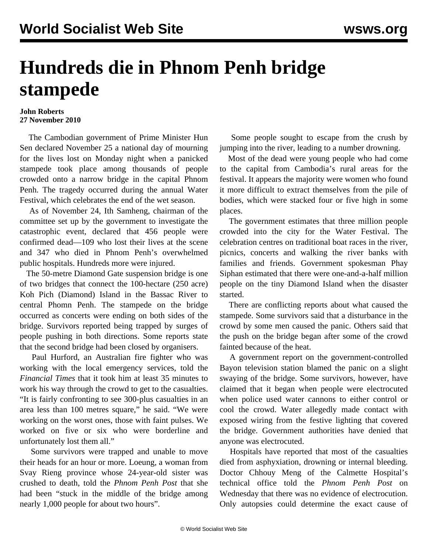## **Hundreds die in Phnom Penh bridge stampede**

## **John Roberts 27 November 2010**

 The Cambodian government of Prime Minister Hun Sen declared November 25 a national day of mourning for the lives lost on Monday night when a panicked stampede took place among thousands of people crowded onto a narrow bridge in the capital Phnom Penh. The tragedy occurred during the annual Water Festival, which celebrates the end of the wet season.

 As of November 24, Ith Samheng, chairman of the committee set up by the government to investigate the catastrophic event, declared that 456 people were confirmed dead—109 who lost their lives at the scene and 347 who died in Phnom Penh's overwhelmed public hospitals. Hundreds more were injured.

 The 50-metre Diamond Gate suspension bridge is one of two bridges that connect the 100-hectare (250 acre) Koh Pich (Diamond) Island in the Bassac River to central Phomn Penh. The stampede on the bridge occurred as concerts were ending on both sides of the bridge. Survivors reported being trapped by surges of people pushing in both directions. Some reports state that the second bridge had been closed by organisers.

 Paul Hurford, an Australian fire fighter who was working with the local emergency services, told the *Financial Times* that it took him at least 35 minutes to work his way through the crowd to get to the casualties. "It is fairly confronting to see 300-plus casualties in an area less than 100 metres square," he said. "We were working on the worst ones, those with faint pulses. We worked on five or six who were borderline and unfortunately lost them all."

 Some survivors were trapped and unable to move their heads for an hour or more. Loeung, a woman from Svay Rieng province whose 24-year-old sister was crushed to death, told the *Phnom Penh Post* that she had been "stuck in the middle of the bridge among nearly 1,000 people for about two hours".

 Some people sought to escape from the crush by jumping into the river, leading to a number drowning.

 Most of the dead were young people who had come to the capital from Cambodia's rural areas for the festival. It appears the majority were women who found it more difficult to extract themselves from the pile of bodies, which were stacked four or five high in some places.

 The government estimates that three million people crowded into the city for the Water Festival. The celebration centres on traditional boat races in the river, picnics, concerts and walking the river banks with families and friends. Government spokesman Phay Siphan estimated that there were one-and-a-half million people on the tiny Diamond Island when the disaster started.

 There are conflicting reports about what caused the stampede. Some survivors said that a disturbance in the crowd by some men caused the panic. Others said that the push on the bridge began after some of the crowd fainted because of the heat.

 A government report on the government-controlled Bayon television station blamed the panic on a slight swaying of the bridge. Some survivors, however, have claimed that it began when people were electrocuted when police used water cannons to either control or cool the crowd. Water allegedly made contact with exposed wiring from the festive lighting that covered the bridge. Government authorities have denied that anyone was electrocuted.

 Hospitals have reported that most of the casualties died from asphyxiation, drowning or internal bleeding. Doctor Chhouy Meng of the Calmette Hospital's technical office told the *Phnom Penh Post* on Wednesday that there was no evidence of electrocution. Only autopsies could determine the exact cause of